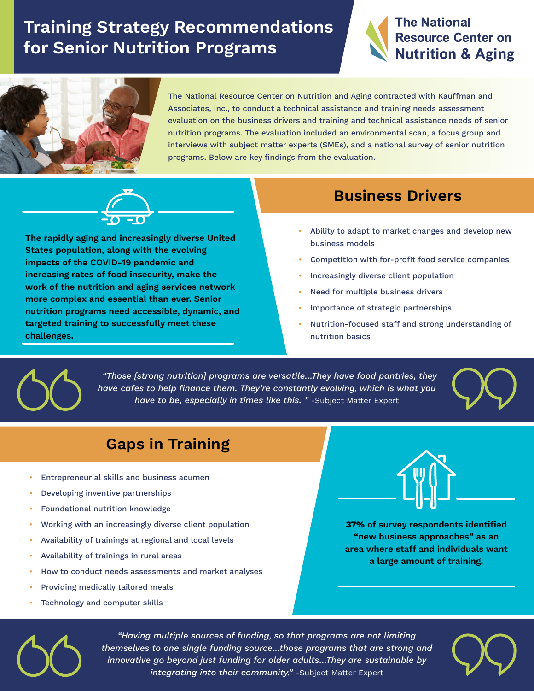# **Training Strategy Recommendations for Senior Nutrition Programs**





The National Resource Center on Nutrition and Aging contracted with Kauffman and Associates, Inc., to conduct a technical assistance and training needs assessment evaluation on the business drivers and training and technical assistance needs of senior nutrition programs. The evaluation included an environmental scan, a focus group and interviews with subject matter experts (SMEs), and a national survey of senior nutrition programs. Below are key findings from the evaluation.



**The rapidly aging and increasingly diverse United States population, along with the evolving impacts of the COVID-19 pandemic and increasing rates of food insecurity, make the work of the nutrition and aging services network more complex and essential than ever. Senior nutrition programs need accessible, dynamic, and targeted training to successfully meet these challenges.**

### **Business Drivers**

- Ability to adapt to market changes and develop new business models
- Competition with for-profit food service companies •
- Increasingly diverse client population •
- Need for multiple business drivers •
- Importance of strategic partnerships •
- Nutrition-focused staff and strong understanding of nutrition basics •



 *"Those [strong nutrition] programs are versatile…They have food pantries, they have cafes to help finance them. They're constantly evolving, which is what you have to be, especially in times like this. "* -Subject Matter Expert



### **Gaps in Training**

- Entrepreneurial skills and business acumen
- Developing inventive partnerships •
- Foundational nutrition knowledge •
- Working with an increasingly diverse client population •
- Availability of trainings at regional and local levels •
- Availability of trainings in rural areas •
- How to conduct needs assessments and market analyses •
- Providing medically tailored meals •
- Technology and computer skills •



**37% of survey respondents identified "new business approaches" as an area where staff and individuals want a large amount of training.**



*"Having multiple sources of funding, so that programs are not limiting themselves to one single funding source…those programs that are strong and innovative go beyond just funding for older adults…They are sustainable by integrating into their community."* -Subject Matter Expert